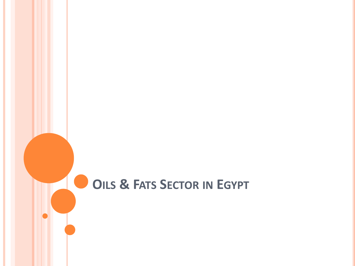# **OILS & FATS SECTOR IN EGYPT**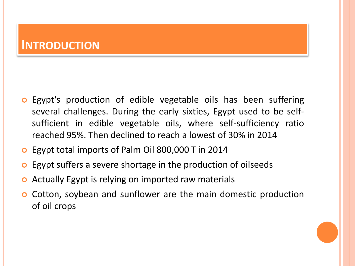### **INTRODUCTION**

- **o** Egypt's production of edible vegetable oils has been suffering several challenges. During the early sixties, Egypt used to be selfsufficient in edible vegetable oils, where self-sufficiency ratio reached 95%. Then declined to reach a lowest of 30% in 2014
- **o** Egypt total imports of Palm Oil 800,000 T in 2014
- **o** Egypt suffers a severe shortage in the production of oilseeds
- Actually Egypt is relying on imported raw materials
- **o** Cotton, soybean and sunflower are the main domestic production of oil crops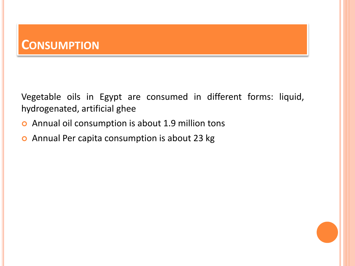### **CONSUMPTION**

Vegetable oils in Egypt are consumed in different forms: liquid, hydrogenated, artificial ghee

- Annual oil consumption is about 1.9 million tons
- Annual Per capita consumption is about 23 kg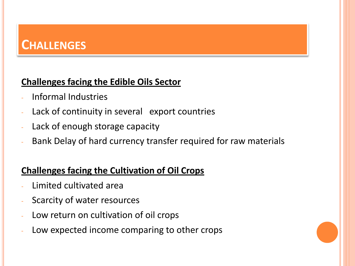# **CHALLENGES**

#### **Challenges facing the Edible Oils Sector**

- Informal Industries
- Lack of continuity in several export countries
- Lack of enough storage capacity
- Bank Delay of hard currency transfer required for raw materials

### **Challenges facing the Cultivation of Oil Crops**

- Limited cultivated area
- Scarcity of water resources
- Low return on cultivation of oil crops
- Low expected income comparing to other crops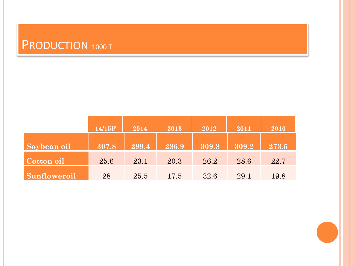# PRODUCTION 1000 T

|              | 14/15F | 2014  | 2013  | 2012  | 2011  | 2010  |
|--------------|--------|-------|-------|-------|-------|-------|
| Soybean oil  | 307.8  | 299.4 | 286.9 | 309.8 | 309.2 | 273.5 |
| Cotton oil   | 25.6   | 23.1  | 20.3  | 26.2  | 28.6  | 22.7  |
| Sunfloweroil | 28     | 25.5  | 17.5  | 32.6  | 29.1  | 19.8  |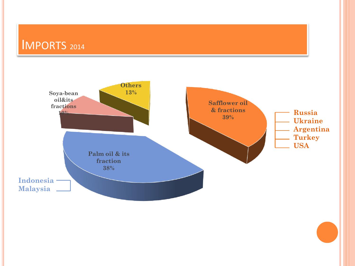# IMPORTS <sup>2014</sup>

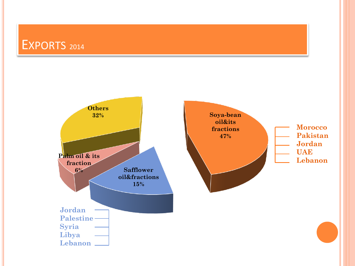## EXPORTS <sup>2014</sup>

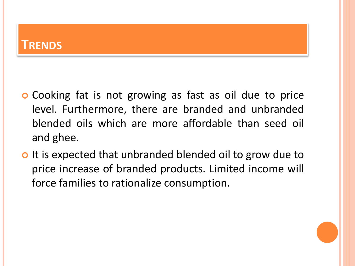### **TRENDS**

- **o** Cooking fat is not growing as fast as oil due to price level. Furthermore, there are branded and unbranded blended oils which are more affordable than seed oil and ghee.
- o It is expected that unbranded blended oil to grow due to price increase of branded products. Limited income will force families to rationalize consumption.